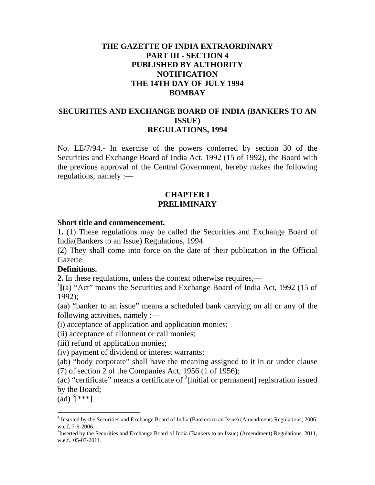### **THE GAZETTE OF INDIA EXTRAORDINARY PART III - SECTION 4 PUBLISHED BY AUTHORITY NOTIFICATION THE 14TH DAY OF JULY 1994 BOMBAY**

#### **SECURITIES AND EXCHANGE BOARD OF INDIA (BANKERS TO AN ISSUE) REGULATIONS, 1994**

No. LE/7/94.- In exercise of the powers conferred by section 30 of the Securities and Exchange Board of India Act, 1992 (15 of 1992), the Board with the previous approval of the Central Government, hereby makes the following regulations, namely :—

#### **CHAPTER I PRELIMINARY**

#### **Short title and commencement.**

**1.** (1) These regulations may be called the Securities and Exchange Board of India(Bankers to an Issue) Regulations, 1994.

(2) They shall come into force on the date of their publication in the Official Gazette.

#### **Definitions.**

**2.** In these regulations, unless the context otherwise requires,—

<sup>1</sup>[(a) "Act" means the Securities and Exchange Board of India Act, 1992 (15 of 1992);

(aa) "banker to an issue" means a scheduled bank carrying on all or any of the following activities, namely :—

(i) acceptance of application and application monies;

(ii) acceptance of allotment or call monies;

(iii) refund of application monies;

(iv) payment of dividend or interest warrants;

(ab) "body corporate" shall have the meaning assigned to it in or under clause (7) of section 2 of the Companies Act, 1956 (1 of 1956);

(ac) "certificate" means a certificate of  $2$ [initial or permanent] registration issued by the Board;

 $(ad)^3$ [\*\*\*]

<sup>&</sup>lt;sup>1</sup> Inserted by the Securities and Exchange Board of India (Bankers to an Issue) (Amendment) Regulations, 2006, w.e.f, 7-9-2006.

<sup>&</sup>lt;sup>2</sup>Inserted by the Securities and Exchange Board of India (Bankers to an Issue) (Amendment) Regulations, 2011, w.e.f., 05-07-2011.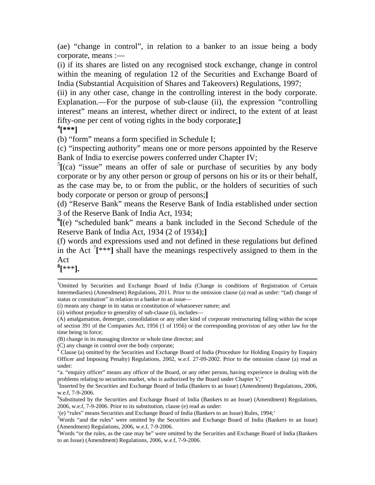(ae) "change in control", in relation to a banker to an issue being a body corporate, means :—

(i) if its shares are listed on any recognised stock exchange, change in control within the meaning of regulation 12 of the Securities and Exchange Board of India (Substantial Acquisition of Shares and Takeovers) Regulations, 1997;

(ii) in any other case, change in the controlling interest in the body corporate. Explanation.—For the purpose of sub-clause (ii), the expression "controlling interest" means an interest, whether direct or indirect, to the extent of at least fifty-one per cent of voting rights in the body corporate;**]** 

**4 [\*\*\*]** 

(b) "form" means a form specified in Schedule I;

(c) "inspecting authority" means one or more persons appointed by the Reserve Bank of India to exercise powers conferred under Chapter IV;

 $5$ [(ca) "issue" means an offer of sale or purchase of securities by any body corporate or by any other person or group of persons on his or its or their behalf, as the case may be, to or from the public, or the holders of securities of such body corporate or person or group of persons;**]** 

(d) "Reserve Bank" means the Reserve Bank of India established under section 3 of the Reserve Bank of India Act, 1934;

**6 [**(e) "scheduled bank" means a bank included in the Second Schedule of the Reserve Bank of India Act, 1934 (2 of 1934);**]** 

(f) words and expressions used and not defined in these regulations but defined in the Act  $\left[7^{***}\right]$  shall have the meanings respectively assigned to them in the Act

**8 [**\*\*\***].** 

<sup>&</sup>lt;sup>3</sup>Omitted by Securities and Exchange Board of India (Change in conditions of Registration of Certain Intermediaries) (Amendment) Regulations, 2011. Prior to the omission clause (a) read as under: "(ad) change of status or constitution" in relation to a banker to an issue—

<sup>(</sup>i) means any change in its status or constitution of whatsoever nature; and

<sup>(</sup>ii) without prejudice to generality of sub-clause (i), includes—

<sup>(</sup>A) amalgamation, demerger, consolidation or any other kind of corporate restructuring falling within the scope of section 391 of the Companies Act, 1956 (1 of 1956) or the corresponding provision of any other law for the time being in force;

<sup>(</sup>B) change in its managing director or whole time director; and

<sup>(</sup>C) any change in control over the body corporate;

<sup>&</sup>lt;sup>4</sup> Clause (a) omitted by the Securities and Exchange Board of India (Procedure for Holding Enquiry by Enquiry Officer and Imposing Penalty) Regulations, 2002, w.e.f. 27-09-2002. Prior to the omission clause (a) read as under:

<sup>&</sup>quot;a. "enquiry officer" means any officer of the Board, or any other person, having experience in dealing with the problems relating to securities market, who is authorized by the Board under Chapter V;"

<sup>&</sup>lt;sup>5</sup>Inserted by the Securities and Exchange Board of India (Bankers to an Issue) (Amendment) Regulations, 2006, w.e.f, 7-9-2006.

<sup>&</sup>lt;sup>6</sup>Substituted by the Securities and Exchange Board of India (Bankers to an Issue) (Amendment) Regulations, 2006, w.e.f, 7-9-2006. Prior to its substitution, clause (e) read as under:

<sup>&#</sup>x27;(e) "rules" means Securities and Exchange Board of India (Bankers to an Issue) Rules, 1994;' <sup>7</sup>

<sup>&</sup>lt;sup>7</sup>Words "and the rules" were omitted by the Securities and Exchange Board of India (Bankers to an Issue) (Amendment) Regulations, 2006, w.e.f, 7-9-2006.

<sup>&</sup>lt;sup>8</sup>Words "or the rules, as the case may be" were omitted by the Securities and Exchange Board of India (Bankers to an Issue) (Amendment) Regulations, 2006, w.e.f, 7-9-2006.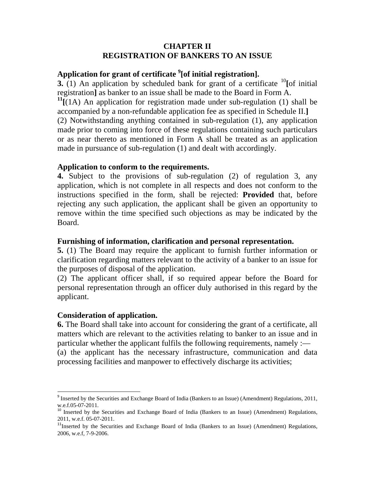#### **CHAPTER II REGISTRATION OF BANKERS TO AN ISSUE**

# **Application for grant of certificate 9 [of initial registration].**

**3.** (1) An application by scheduled bank for grant of a certificate <sup>10</sup>[of initial registration**]** as banker to an issue shall be made to the Board in Form A.

**11[**(1A) An application for registration made under sub-regulation (1) shall be accompanied by a non-refundable application fee as specified in Schedule II.**]**  (2) Notwithstanding anything contained in sub-regulation (1), any application made prior to coming into force of these regulations containing such particulars or as near thereto as mentioned in Form A shall be treated as an application made in pursuance of sub-regulation (1) and dealt with accordingly.

#### **Application to conform to the requirements.**

**4.** Subject to the provisions of sub-regulation (2) of regulation 3, any application, which is not complete in all respects and does not conform to the instructions specified in the form, shall be rejected: **Provided** that, before rejecting any such application, the applicant shall be given an opportunity to remove within the time specified such objections as may be indicated by the Board.

#### **Furnishing of information, clarification and personal representation.**

**5.** (1) The Board may require the applicant to furnish further information or clarification regarding matters relevant to the activity of a banker to an issue for the purposes of disposal of the application.

(2) The applicant officer shall, if so required appear before the Board for personal representation through an officer duly authorised in this regard by the applicant.

#### **Consideration of application.**

**6.** The Board shall take into account for considering the grant of a certificate, all matters which are relevant to the activities relating to banker to an issue and in particular whether the applicant fulfils the following requirements, namely :— (a) the applicant has the necessary infrastructure, communication and data processing facilities and manpower to effectively discharge its activities;

<sup>&</sup>lt;sup>9</sup> Inserted by the Securities and Exchange Board of India (Bankers to an Issue) (Amendment) Regulations, 2011, w.e.f.05-07-2011.

<sup>&</sup>lt;sup>10</sup> Inserted by the Securities and Exchange Board of India (Bankers to an Issue) (Amendment) Regulations, 2011, w.e.f. 05-07-2011.

<sup>&</sup>lt;sup>11</sup>Inserted by the Securities and Exchange Board of India (Bankers to an Issue) (Amendment) Regulations, 2006, w.e.f, 7-9-2006.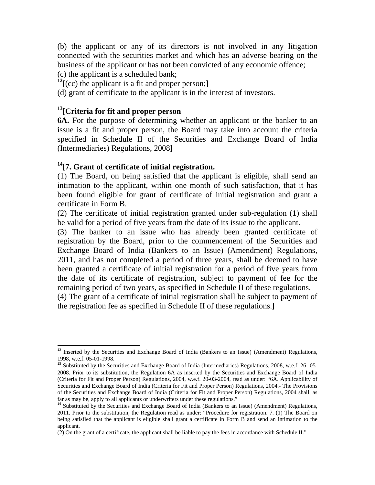(b) the applicant or any of its directors is not involved in any litigation connected with the securities market and which has an adverse bearing on the business of the applicant or has not been convicted of any economic offence; (c) the applicant is a scheduled bank;

**12[**(cc) the applicant is a fit and proper person;**]** 

(d) grant of certificate to the applicant is in the interest of investors.

# **13[Criteria for fit and proper person**

**6A.** For the purpose of determining whether an applicant or the banker to an issue is a fit and proper person, the Board may take into account the criteria specified in Schedule II of the Securities and Exchange Board of India (Intermediaries) Regulations, 2008**]** 

# **14[7. Grant of certificate of initial registration.**

(1) The Board, on being satisfied that the applicant is eligible, shall send an intimation to the applicant, within one month of such satisfaction, that it has been found eligible for grant of certificate of initial registration and grant a certificate in Form B.

(2) The certificate of initial registration granted under sub-regulation (1) shall be valid for a period of five years from the date of its issue to the applicant.

(3) The banker to an issue who has already been granted certificate of registration by the Board, prior to the commencement of the Securities and Exchange Board of India (Bankers to an Issue) (Amendment) Regulations, 2011, and has not completed a period of three years, shall be deemed to have been granted a certificate of initial registration for a period of five years from the date of its certificate of registration, subject to payment of fee for the remaining period of two years, as specified in Schedule II of these regulations.

(4) The grant of a certificate of initial registration shall be subject to payment of the registration fee as specified in Schedule II of these regulations.**]** 

<sup>&</sup>lt;sup>12</sup> Inserted by the Securities and Exchange Board of India (Bankers to an Issue) (Amendment) Regulations, 1998, w.e.f. 05-01-1998.

<sup>&</sup>lt;sup>13</sup> Substituted by the Securities and Exchange Board of India (Intermediaries) Regulations, 2008, w.e.f. 26- 05-2008. Prior to its substitution, the Regulation 6A as inserted by the Securities and Exchange Board of India (Criteria for Fit and Proper Person) Regulations, 2004, w.e.f. 20-03-2004, read as under: "6A. Applicability of Securities and Exchange Board of India (Criteria for Fit and Proper Person) Regulations, 2004.- The Provisions of the Securities and Exchange Board of India (Criteria for Fit and Proper Person) Regulations, 2004 shall, as far as may be, apply to all applicants or underwriters under these regulations."

<sup>&</sup>lt;sup>14</sup> Substituted by the Securities and Exchange Board of India (Bankers to an Issue) (Amendment) Regulations, 2011. Prior to the substitution, the Regulation read as under: "Procedure for registration. 7. (1) The Board on being satisfied that the applicant is eligible shall grant a certificate in Form B and send an intimation to the applicant.

<sup>(2)</sup> On the grant of a certificate, the applicant shall be liable to pay the fees in accordance with Schedule II."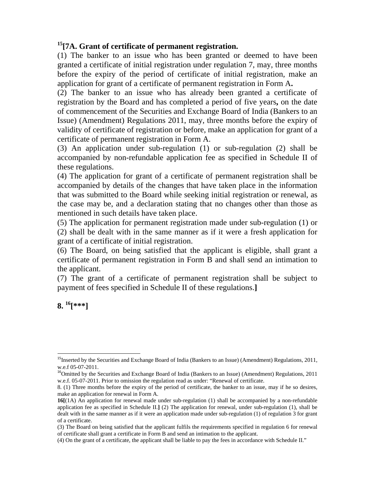# **15[7A. Grant of certificate of permanent registration.**

(1) The banker to an issue who has been granted or deemed to have been granted a certificate of initial registration under regulation 7, may, three months before the expiry of the period of certificate of initial registration, make an application for grant of a certificate of permanent registration in Form A**.** 

(2) The banker to an issue who has already been granted a certificate of registration by the Board and has completed a period of five years**,** on the date of commencement of the Securities and Exchange Board of India (Bankers to an Issue) (Amendment) Regulations 2011, may, three months before the expiry of validity of certificate of registration or before, make an application for grant of a certificate of permanent registration in Form A.

(3) An application under sub-regulation (1) or sub-regulation (2) shall be accompanied by non-refundable application fee as specified in Schedule II of these regulations.

(4) The application for grant of a certificate of permanent registration shall be accompanied by details of the changes that have taken place in the information that was submitted to the Board while seeking initial registration or renewal, as the case may be, and a declaration stating that no changes other than those as mentioned in such details have taken place.

(5) The application for permanent registration made under sub-regulation (1) or (2) shall be dealt with in the same manner as if it were a fresh application for grant of a certificate of initial registration.

(6) The Board, on being satisfied that the applicant is eligible, shall grant a certificate of permanent registration in Form B and shall send an intimation to the applicant.

(7) The grant of a certificate of permanent registration shall be subject to payment of fees specified in Schedule II of these regulations.**]** 

**8. 16[\*\*\*]** 

 <sup>15</sup>Inserted by the Securities and Exchange Board of India (Bankers to an Issue) (Amendment) Regulations, 2011, w.e.f 05-07-2011.

<sup>&</sup>lt;sup>16</sup>Omitted by the Securities and Exchange Board of India (Bankers to an Issue) (Amendment) Regulations, 2011 w.e.f. 05-07-2011. Prior to omission the regulation read as under: "Renewal of certificate.

<sup>8. (1)</sup> Three months before the expiry of the period of certificate, the banker to an issue, may if he so desires, make an application for renewal in Form A.

**<sup>16[</sup>**(1A) An application for renewal made under sub-regulation (1) shall be accompanied by a non-refundable application fee as specified in Schedule II.**]** (2) The application for renewal, under sub-regulation (1), shall be dealt with in the same manner as if it were an application made under sub-regulation (1) of regulation 3 for grant of a certificate.

<sup>(3)</sup> The Board on being satisfied that the applicant fulfils the requirements specified in regulation 6 for renewal of certificate shall grant a certificate in Form B and send an intimation to the applicant.

<sup>(4)</sup> On the grant of a certificate, the applicant shall be liable to pay the fees in accordance with Schedule II."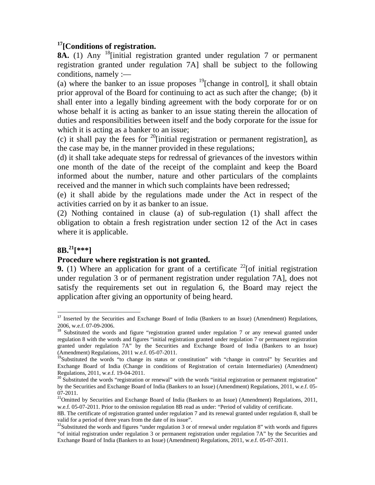## **17[Conditions of registration.**

8A. (1) Any <sup>18</sup>[initial registration granted under regulation 7 or permanent registration granted under regulation 7A] shall be subject to the following conditions, namely :—

(a) where the banker to an issue proposes  $^{19}$ [change in control], it shall obtain prior approval of the Board for continuing to act as such after the change; (b) it shall enter into a legally binding agreement with the body corporate for or on whose behalf it is acting as banker to an issue stating therein the allocation of duties and responsibilities between itself and the body corporate for the issue for which it is acting as a banker to an issue;

(c) it shall pay the fees for <sup>20</sup>[initial registration or permanent registration], as the case may be, in the manner provided in these regulations;

(d) it shall take adequate steps for redressal of grievances of the investors within one month of the date of the receipt of the complaint and keep the Board informed about the number, nature and other particulars of the complaints received and the manner in which such complaints have been redressed;

(e) it shall abide by the regulations made under the Act in respect of the activities carried on by it as banker to an issue.

(2) Nothing contained in clause (a) of sub-regulation (1) shall affect the obligation to obtain a fresh registration under section 12 of the Act in cases where it is applicable.

# **8B.21[\*\*\*]**

#### **Procedure where registration is not granted.**

**9.** (1) Where an application for grant of a certificate  $22$  [of initial registration under regulation 3 or of permanent registration under regulation 7A], does not satisfy the requirements set out in regulation 6, the Board may reject the application after giving an opportunity of being heard.

<sup>&</sup>lt;sup>17</sup> Inserted by the Securities and Exchange Board of India (Bankers to an Issue) (Amendment) Regulations, 2006, w.e.f. 07-09-2006.

<sup>&</sup>lt;sup>18</sup> Substituted the words and figure "registration granted under regulation 7 or any renewal granted under regulation 8 with the words and figures "initial registration granted under regulation 7 or permanent registration granted under regulation 7A" by the Securities and Exchange Board of India (Bankers to an Issue) (Amendment) Regulations, 2011 w.e.f. 05-07-2011.

<sup>&</sup>lt;sup>19</sup>Substituted the words "to change its status or constitution" with "change in control" by Securities and Exchange Board of India (Change in conditions of Registration of certain Intermediaries) (Amendment) Regulations, 2011, w.e.f. 19-04-2011.

 $20$  Substituted the words "registration or renewal" with the words "initial registration or permanent registration" by the Securities and Exchange Board of India (Bankers to an Issue) (Amendment) Regulations, 2011, w.e.f. 05- 07-2011.

<sup>&</sup>lt;sup>21</sup>Omitted by Securities and Exchange Board of India (Bankers to an Issue) (Amendment) Regulations, 2011, w.e.f. 05-07-2011. Prior to the omission regulation 8B read as under: "Period of validity of certificate.

<sup>8</sup>B. The certificate of registration granted under regulation 7 and its renewal granted under regulation 8, shall be valid for a period of three years from the date of its issue".

<sup>&</sup>lt;sup>22</sup>Substituted the words and figures "under regulation 3 or of renewal under regulation 8" with words and figures "of initial registration under regulation 3 or permanent registration under regulation 7A" by the Securities and Exchange Board of India (Bankers to an Issue) (Amendment) Regulations, 2011, w.e.f. 05-07-2011.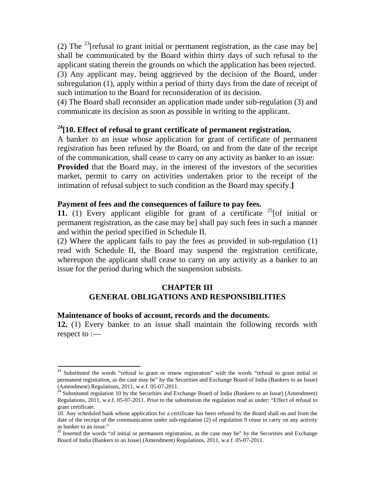(2) The <sup>23</sup>[refusal to grant initial or permanent registration, as the case may be] shall be communicated by the Board within thirty days of such refusal to the applicant stating therein the grounds on which the application has been rejected. (3) Any applicant may, being aggrieved by the decision of the Board, under subregulation (1), apply within a period of thirty days from the date of receipt of such intimation to the Board for reconsideration of its decision.

(4) The Board shall reconsider an application made under sub-regulation (3) and communicate its decision as soon as possible in writing to the applicant.

#### **24[10. Effect of refusal to grant certificate of permanent registration.**

A banker to an issue whose application for grant of certificate of permanent registration has been refused by the Board, on and from the date of the receipt of the communication, shall cease to carry on any activity as banker to an issue: **Provided** that the Board may, in the interest of the investors of the securities market, permit to carry on activities undertaken prior to the receipt of the intimation of refusal subject to such condition as the Board may specify.**]** 

#### **Payment of fees and the consequences of failure to pay fees.**

**11.** (1) Every applicant eligible for grant of a certificate  $25$  [of initial or permanent registration, as the case may be] shall pay such fees in such a manner and within the period specified in Schedule II.

(2) Where the applicant fails to pay the fees as provided in sub-regulation (1) read with Schedule II, the Board may suspend the registration certificate, whereupon the applicant shall cease to carry on any activity as a banker to an issue for the period during which the suspension subsists.

# **CHAPTER III**

# **GENERAL OBLIGATIONS AND RESPONSIBILITIES**

#### **Maintenance of books of account, records and the documents.**

**12.** (1) Every banker to an issue shall maintain the following records with respect to :—

<sup>&</sup>lt;sup>23</sup> Substituted the words "refusal to grant or renew registration" with the words "refusal to grant initial or permanent registration, as the case may be" by the Securities and Exchange Board of India (Bankers to an Issue) (Amendment) Regulations, 2011, w.e.f. 05-07-2011.

<sup>24</sup> Substituted regulation 10 by the Securities and Exchange Board of India (Bankers to an Issue) (Amendment) Regulations, 2011, w.e.f. 05-07-2011. Prior to the substitution the regulation read as under: "Effect of refusal to grant certificate.

<sup>10.</sup> Any scheduled bank whose application for a certificate has been refused by the Board shall on and from the date of the receipt of the communication under sub-regulation (2) of regulation 9 cease to carry on any activity as banker to an issue."

<sup>&</sup>lt;sup>25</sup> Inserted the words "of initial or permanent registration, as the case may be" by the Securities and Exchange Board of India (Bankers to an Issue) (Amendment) Regulations, 2011, w.e.f. 05-07-2011.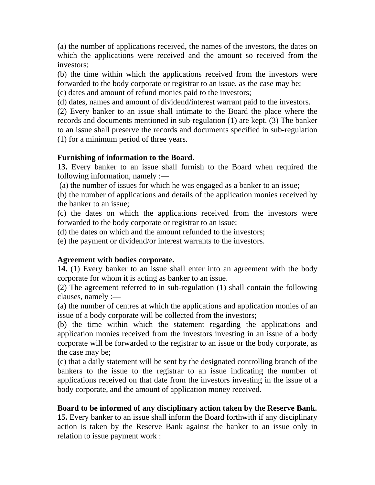(a) the number of applications received, the names of the investors, the dates on which the applications were received and the amount so received from the investors;

(b) the time within which the applications received from the investors were forwarded to the body corporate or registrar to an issue, as the case may be;

(c) dates and amount of refund monies paid to the investors;

(d) dates, names and amount of dividend/interest warrant paid to the investors.

(2) Every banker to an issue shall intimate to the Board the place where the records and documents mentioned in sub-regulation (1) are kept. (3) The banker to an issue shall preserve the records and documents specified in sub-regulation (1) for a minimum period of three years.

# **Furnishing of information to the Board.**

**13.** Every banker to an issue shall furnish to the Board when required the following information, namely :—

(a) the number of issues for which he was engaged as a banker to an issue;

(b) the number of applications and details of the application monies received by the banker to an issue;

(c) the dates on which the applications received from the investors were forwarded to the body corporate or registrar to an issue;

(d) the dates on which and the amount refunded to the investors;

(e) the payment or dividend/or interest warrants to the investors.

# **Agreement with bodies corporate.**

**14.** (1) Every banker to an issue shall enter into an agreement with the body corporate for whom it is acting as banker to an issue.

(2) The agreement referred to in sub-regulation (1) shall contain the following clauses, namely :—

(a) the number of centres at which the applications and application monies of an issue of a body corporate will be collected from the investors;

(b) the time within which the statement regarding the applications and application monies received from the investors investing in an issue of a body corporate will be forwarded to the registrar to an issue or the body corporate, as the case may be;

(c) that a daily statement will be sent by the designated controlling branch of the bankers to the issue to the registrar to an issue indicating the number of applications received on that date from the investors investing in the issue of a body corporate, and the amount of application money received.

# **Board to be informed of any disciplinary action taken by the Reserve Bank.**

**15.** Every banker to an issue shall inform the Board forthwith if any disciplinary action is taken by the Reserve Bank against the banker to an issue only in relation to issue payment work :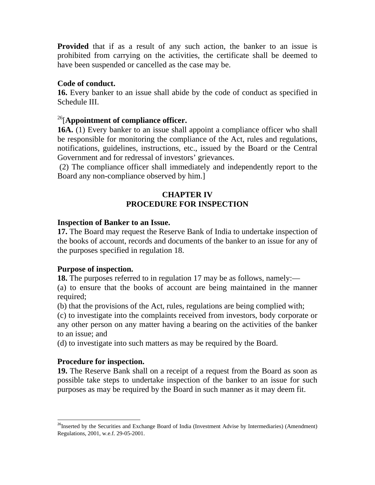**Provided** that if as a result of any such action, the banker to an issue is prohibited from carrying on the activities, the certificate shall be deemed to have been suspended or cancelled as the case may be.

#### **Code of conduct.**

**16.** Every banker to an issue shall abide by the code of conduct as specified in Schedule III.

### 26[**Appointment of compliance officer.**

**16A.** (1) Every banker to an issue shall appoint a compliance officer who shall be responsible for monitoring the compliance of the Act, rules and regulations, notifications, guidelines, instructions, etc., issued by the Board or the Central Government and for redressal of investors' grievances.

 (2) The compliance officer shall immediately and independently report to the Board any non-compliance observed by him.]

#### **CHAPTER IV PROCEDURE FOR INSPECTION**

#### **Inspection of Banker to an Issue.**

**17.** The Board may request the Reserve Bank of India to undertake inspection of the books of account, records and documents of the banker to an issue for any of the purposes specified in regulation 18.

#### **Purpose of inspection.**

**18.** The purposes referred to in regulation 17 may be as follows, namely:—

(a) to ensure that the books of account are being maintained in the manner required;

(b) that the provisions of the Act, rules, regulations are being complied with;

(c) to investigate into the complaints received from investors, body corporate or any other person on any matter having a bearing on the activities of the banker to an issue; and

(d) to investigate into such matters as may be required by the Board.

#### **Procedure for inspection.**

**19.** The Reserve Bank shall on a receipt of a request from the Board as soon as possible take steps to undertake inspection of the banker to an issue for such purposes as may be required by the Board in such manner as it may deem fit.

<sup>&</sup>lt;sup>26</sup>Inserted by the Securities and Exchange Board of India (Investment Advise by Intermediaries) (Amendment) Regulations, 2001, w.e.f. 29-05-2001.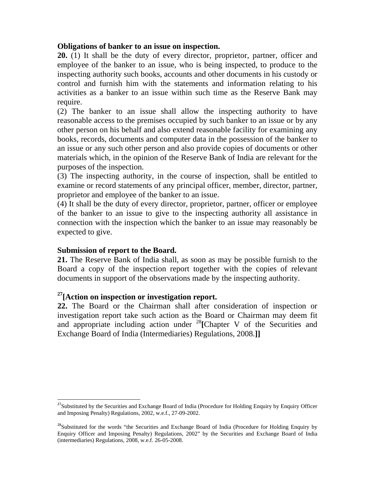#### **Obligations of banker to an issue on inspection.**

**20.** (1) It shall be the duty of every director, proprietor, partner, officer and employee of the banker to an issue, who is being inspected, to produce to the inspecting authority such books, accounts and other documents in his custody or control and furnish him with the statements and information relating to his activities as a banker to an issue within such time as the Reserve Bank may require.

(2) The banker to an issue shall allow the inspecting authority to have reasonable access to the premises occupied by such banker to an issue or by any other person on his behalf and also extend reasonable facility for examining any books, records, documents and computer data in the possession of the banker to an issue or any such other person and also provide copies of documents or other materials which, in the opinion of the Reserve Bank of India are relevant for the purposes of the inspection.

(3) The inspecting authority, in the course of inspection, shall be entitled to examine or record statements of any principal officer, member, director, partner, proprietor and employee of the banker to an issue.

(4) It shall be the duty of every director, proprietor, partner, officer or employee of the banker to an issue to give to the inspecting authority all assistance in connection with the inspection which the banker to an issue may reasonably be expected to give.

#### **Submission of report to the Board.**

**21.** The Reserve Bank of India shall, as soon as may be possible furnish to the Board a copy of the inspection report together with the copies of relevant documents in support of the observations made by the inspecting authority.

#### **27[Action on inspection or investigation report.**

**22.** The Board or the Chairman shall after consideration of inspection or investigation report take such action as the Board or Chairman may deem fit and appropriate including action under <sup>28</sup>**[**Chapter V of the Securities and Exchange Board of India (Intermediaries) Regulations, 2008.**]]** 

<sup>&</sup>lt;sup>27</sup>Substituted by the Securities and Exchange Board of India (Procedure for Holding Enquiry by Enquiry Officer and Imposing Penalty) Regulations, 2002, w.e.f., 27-09-2002.

<sup>&</sup>lt;sup>28</sup>Substituted for the words "the Securities and Exchange Board of India (Procedure for Holding Enquiry by Enquiry Officer and Imposing Penalty) Regulations, 2002" by the Securities and Exchange Board of India (intermediaries) Regulations, 2008, w.e.f. 26-05-2008.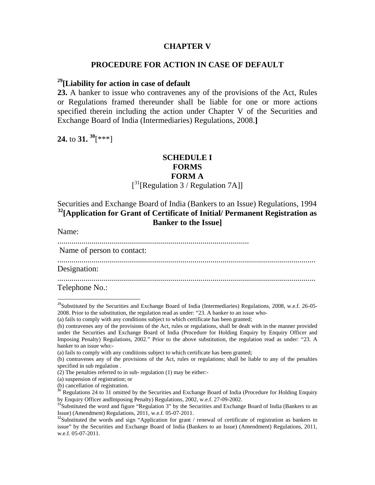#### **CHAPTER V**

#### **PROCEDURE FOR ACTION IN CASE OF DEFAULT**

# **29[Liability for action in case of default**

**23.** A banker to issue who contravenes any of the provisions of the Act, Rules or Regulations framed thereunder shall be liable for one or more actions specified therein including the action under Chapter V of the Securities and Exchange Board of India (Intermediaries) Regulations, 2008.**]** 

**24.** to **31. 30**[\*\*\*]

#### **SCHEDULE I FORMS FORM A**

# $[$ <sup>31</sup>[Regulation 3 / Regulation 7A]]

Securities and Exchange Board of India (Bankers to an Issue) Regulations, 1994 **32[Application for Grant of Certificate of Initial/ Permanent Registration as Banker to the Issue]** 

Name:

...............................................................................................

Name of person to contact:

................................................................................................................................

Designation:

................................................................................................................................

Telephone No.:

(a) fails to comply with any conditions subject to which certificate has been granted;

<sup>&</sup>lt;sup>29</sup>Substituted by the Securities and Exchange Board of India (Intermediaries) Regulations, 2008, w.e.f. 26-05-2008. Prior to the substitution, the regulation read as under: "23. A banker to an issue who-

<sup>(</sup>b) contravenes any of the provisions of the Act, rules or regulations, shall be dealt with in the manner provided under the Securities and Exchange Board of India (Procedure for Holding Enquiry by Enquiry Officer and Imposing Penalty) Regulations, 2002." Prior to the above substitution, the regulation read as under: "23. A banker to an issue who:-

<sup>(</sup>a) fails to comply with any conditions subject to which certificate has been granted;

<sup>(</sup>b) contravenes any of the provisions of the Act, rules or regulations; shall be liable to any of the penalties specified in sub regulation .

<sup>(2)</sup> The penalties referred to in sub- regulation (1) may be either:-

<sup>(</sup>a) suspension of registration; or

<sup>(</sup>b) cancellation of registration.

<sup>&</sup>lt;sup>30</sup> Regulations 24 to 31 omitted by the Securities and Exchange Board of India (Procedure for Holding Enquiry by Enquiry Officer andImposing Penalty) Regulations, 2002, w.e.f. 27-09-2002.

<sup>&</sup>lt;sup>31</sup>Substituted the word and figure "Regulation 3" by the Securities and Exchange Board of India (Bankers to an Issue) (Amendment) Regulations, 2011, w.e.f. 05-07-2011.

 $32$ Substituted the words and sign "Application for grant / renewal of certificate of registration as bankers to issue" by the Securities and Exchange Board of India (Bankers to an Issue) (Amendment) Regulations, 2011, w.e.f. 05-07-2011.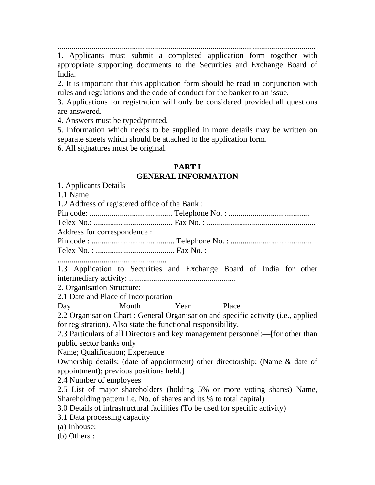................................................................................................................................

1. Applicants must submit a completed application form together with appropriate supporting documents to the Securities and Exchange Board of India.

2. It is important that this application form should be read in conjunction with rules and regulations and the code of conduct for the banker to an issue.

3. Applications for registration will only be considered provided all questions are answered.

4. Answers must be typed/printed.

5. Information which needs to be supplied in more details may be written on separate sheets which should be attached to the application form.

6. All signatures must be original.

#### **PART I**

### **GENERAL INFORMATION**

1. Applicants Details

1.1 Name

1.2 Address of registered office of the Bank :

Pin code: ......................................... Telephone No. : ........................................ Telex No.: ....................................... Fax No. : ...................................................... Address for correspondence : Pin code : ......................................... Telephone No. : ........................................

Telex No. : ....................................... Fax No. :

......................................................

1.3 Application to Securities and Exchange Board of India for other intermediary activity: .....................................................

2. Organisation Structure:

2.1 Date and Place of Incorporation

Day Month Year Place

2.2 Organisation Chart : General Organisation and specific activity (i.e., applied for registration). Also state the functional responsibility.

2.3 Particulars of all Directors and key management personnel:—[for other than public sector banks only

Name; Qualification; Experience

Ownership details; (date of appointment) other directorship; (Name & date of appointment); previous positions held.]

2.4 Number of employees

2.5 List of major shareholders (holding 5% or more voting shares) Name, Shareholding pattern i.e. No. of shares and its % to total capital)

3.0 Details of infrastructural facilities (To be used for specific activity)

3.1 Data processing capacity

(a) Inhouse:

(b) Others :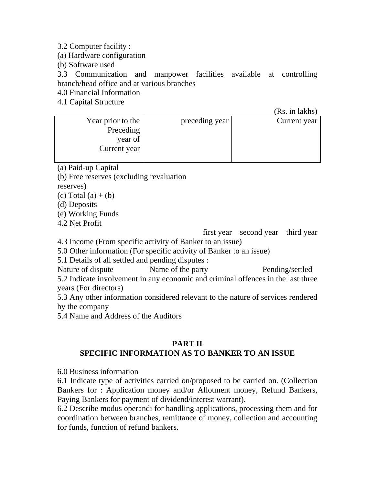3.2 Computer facility :

(a) Hardware configuration

(b) Software used

3.3 Communication and manpower facilities available at controlling branch/head office and at various branches

4.0 Financial Information

4.1 Capital Structure

 $(Re \text{ in } \text{labhe})$ 

|                   |                | LLO, III IUILIIO |
|-------------------|----------------|------------------|
| Year prior to the | preceding year | Current year     |
| Preceding         |                |                  |
| year of           |                |                  |
| Current year      |                |                  |
|                   |                |                  |

(a) Paid-up Capital

(b) Free reserves (excluding revaluation

reserves)

(c) Total  $(a) + (b)$ 

(d) Deposits

(e) Working Funds

4.2 Net Profit

first year second year third year

4.3 Income (From specific activity of Banker to an issue)

5.0 Other information (For specific activity of Banker to an issue)

5.1 Details of all settled and pending disputes :

Nature of dispute Name of the party Pending/settled 5.2 Indicate involvement in any economic and criminal offences in the last three years (For directors)

5.3 Any other information considered relevant to the nature of services rendered by the company

5.4 Name and Address of the Auditors

#### **PART II SPECIFIC INFORMATION AS TO BANKER TO AN ISSUE**

6.0 Business information

6.1 Indicate type of activities carried on/proposed to be carried on. (Collection Bankers for : Application money and/or Allotment money, Refund Bankers, Paying Bankers for payment of dividend/interest warrant).

6.2 Describe modus operandi for handling applications, processing them and for coordination between branches, remittance of money, collection and accounting for funds, function of refund bankers.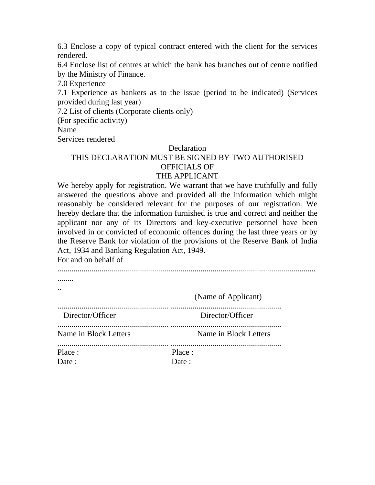6.3 Enclose a copy of typical contract entered with the client for the services rendered.

6.4 Enclose list of centres at which the bank has branches out of centre notified by the Ministry of Finance.

7.0 Experience

7.1 Experience as bankers as to the issue (period to be indicated) (Services provided during last year)

7.2 List of clients (Corporate clients only)

(For specific activity)

Name

Services rendered

#### Declaration

#### THIS DECLARATION MUST BE SIGNED BY TWO AUTHORISED OFFICIALS OF THE APPLICANT

We hereby apply for registration. We warrant that we have truthfully and fully answered the questions above and provided all the information which might reasonably be considered relevant for the purposes of our registration. We hereby declare that the information furnished is true and correct and neither the applicant nor any of its Directors and key-executive personnel have been involved in or convicted of economic offences during the last three years or by the Reserve Bank for violation of the provisions of the Reserve Bank of India Act, 1934 and Banking Regulation Act, 1949.

For and on behalf of

| $\ddot{\phantom{0}}$  |                       |
|-----------------------|-----------------------|
|                       | (Name of Applicant)   |
| Director/Officer      | Director/Officer      |
| Name in Block Letters | Name in Block Letters |
| Place :<br>Date:      | Place:<br>Date:       |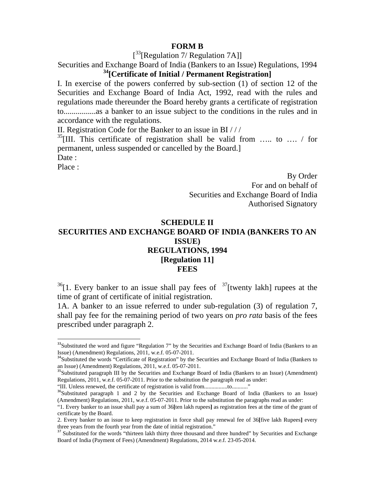#### **FORM B**

[<sup>33</sup>[Regulation 7/ Regulation 7A]]

Securities and Exchange Board of India (Bankers to an Issue) Regulations, 1994 **34[Certificate of Initial / Permanent Registration]** 

I. In exercise of the powers conferred by sub-section (1) of section 12 of the Securities and Exchange Board of India Act, 1992, read with the rules and regulations made thereunder the Board hereby grants a certificate of registration to................as a banker to an issue subject to the conditions in the rules and in accordance with the regulations.

II. Registration Code for the Banker to an issue in BI / / /

 $35$ [III. This certificate of registration shall be valid from ..... to .... / for permanent, unless suspended or cancelled by the Board.] Date :

Place :

By Order For and on behalf of Securities and Exchange Board of India Authorised Signatory

# **SCHEDULE II SECURITIES AND EXCHANGE BOARD OF INDIA (BANKERS TO AN ISSUE) REGULATIONS, 1994 [Regulation 11] FEES**

 $36$ [1. Every banker to an issue shall pay fees of  $37$ [twenty lakh] rupees at the time of grant of certificate of initial registration.

1A. A banker to an issue referred to under sub-regulation (3) of regulation 7, shall pay fee for the remaining period of two years on *pro rata* basis of the fees prescribed under paragraph 2.

"III. Unless renewed, the certificate of registration is valid from................to..........."

<sup>&</sup>lt;sup>33</sup>Substituted the word and figure "Regulation 7" by the Securities and Exchange Board of India (Bankers to an Issue) (Amendment) Regulations, 2011, w.e.f. 05-07-2011.

<sup>&</sup>lt;sup>34</sup>Substituted the words "Certificate of Registration" by the Securities and Exchange Board of India (Bankers to an Issue) (Amendment) Regulations, 2011, w.e.f. 05-07-2011.

<sup>&</sup>lt;sup>35</sup>Substituted paragraph III by the Securities and Exchange Board of India (Bankers to an Issue) (Amendment) Regulations, 2011, w.e.f. 05-07-2011. Prior to the substitution the paragraph read as under:

<sup>&</sup>lt;sup>36</sup>Substituted paragraph 1 and 2 by the Securities and Exchange Board of India (Bankers to an Issue) (Amendment) Regulations, 2011, w.e.f. 05-07-2011. Prior to the substitution the paragraphs read as under:

<sup>&</sup>quot;1. Every banker to an issue shall pay a sum of 36**[**ten lakh rupees**]** as registration fees at the time of the grant of certificate by the Board.

<sup>2.</sup> Every banker to an issue to keep registration in force shall pay renewal fee of 36**[**five lakh Rupees**]** every three years from the fourth year from the date of initial registration."

<sup>&</sup>lt;sup>37</sup> Substituted for the words "thirteen lakh thirty three thousand and three hundred" by Securities and Exchange Board of India (Payment of Fees) (Amendment) Regulations, 2014 w.e.f. 23-05-2014.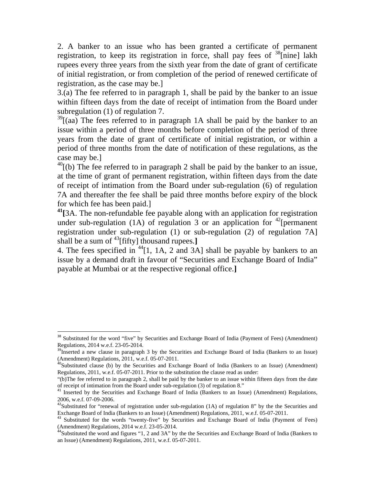2. A banker to an issue who has been granted a certificate of permanent registration, to keep its registration in force, shall pay fees of  $\frac{38}{n}$ [nine] lakh rupees every three years from the sixth year from the date of grant of certificate of initial registration, or from completion of the period of renewed certificate of registration, as the case may be.]

3.(a) The fee referred to in paragraph 1, shall be paid by the banker to an issue within fifteen days from the date of receipt of intimation from the Board under subregulation (1) of regulation 7.

 $39$ [(aa) The fees referred to in paragraph 1A shall be paid by the banker to an issue within a period of three months before completion of the period of three years from the date of grant of certificate of initial registration, or within a period of three months from the date of notification of these regulations, as the case may be.]

 $^{40}$ [(b) The fee referred to in paragraph 2 shall be paid by the banker to an issue, at the time of grant of permanent registration, within fifteen days from the date of receipt of intimation from the Board under sub-regulation (6) of regulation 7A and thereafter the fee shall be paid three months before expiry of the block for which fee has been paid.]

**41[**3A. The non-refundable fee payable along with an application for registration under sub-regulation (1A) of regulation  $\overline{3}$  or an application for <sup>42</sup>[permanent] registration under sub-regulation (1) or sub-regulation (2) of regulation 7A] shall be a sum of 43[fifty] thousand rupees.**]** 

4. The fees specified in  $44$ [1, 1A, 2 and 3A] shall be payable by bankers to an issue by a demand draft in favour of "Securities and Exchange Board of India" payable at Mumbai or at the respective regional office.**]** 

<sup>&</sup>lt;sup>38</sup> Substituted for the word "five" by Securities and Exchange Board of India (Payment of Fees) (Amendment) Regulations, 2014 w.e.f. 23-05-2014.

<sup>&</sup>lt;sup>39</sup>Inserted a new clause in paragraph 3 by the Securities and Exchange Board of India (Bankers to an Issue) (Amendment) Regulations, 2011, w.e.f. 05-07-2011.

<sup>&</sup>lt;sup>40</sup>Substituted clause (b) by the Securities and Exchange Board of India (Bankers to an Issue) (Amendment) Regulations, 2011, w.e.f. 05-07-2011. Prior to the substitution the clause read as under:

<sup>&</sup>quot;(b)The fee referred to in paragraph 2, shall be paid by the banker to an issue within fifteen days from the date of receipt of intimation from the Board under sub-regulation (3) of regulation 8."

<sup>&</sup>lt;sup>41</sup> Inserted by the Securities and Exchange Board of India (Bankers to an Issue) (Amendment) Regulations, 2006, w.e.f. 07-09-2006.

 $^{42}$ Substituted for "renewal of registration under sub-regulation (1A) of regulation 8" by the the Securities and Exchange Board of India (Bankers to an Issue) (Amendment) Regulations, 2011, w.e.f. 05-07-2011.

<sup>&</sup>lt;sup>43</sup> Substituted for the words "twenty-five" by Securities and Exchange Board of India (Payment of Fees) (Amendment) Regulations, 2014 w.e.f. 23-05-2014.

<sup>&</sup>lt;sup>44</sup>Substituted the word and figures "1, 2 and 3A" by the the Securities and Exchange Board of India (Bankers to an Issue) (Amendment) Regulations, 2011, w.e.f. 05-07-2011.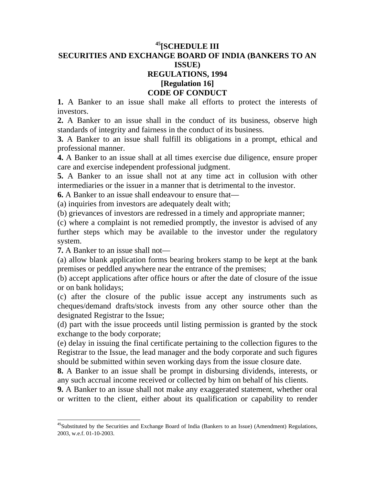# **45[SCHEDULE III SECURITIES AND EXCHANGE BOARD OF INDIA (BANKERS TO AN ISSUE) REGULATIONS, 1994 [Regulation 16] CODE OF CONDUCT**

**1.** A Banker to an issue shall make all efforts to protect the interests of investors.

**2.** A Banker to an issue shall in the conduct of its business, observe high standards of integrity and fairness in the conduct of its business.

**3.** A Banker to an issue shall fulfill its obligations in a prompt, ethical and professional manner.

**4.** A Banker to an issue shall at all times exercise due diligence, ensure proper care and exercise independent professional judgment.

**5.** A Banker to an issue shall not at any time act in collusion with other intermediaries or the issuer in a manner that is detrimental to the investor.

**6.** A Banker to an issue shall endeavour to ensure that—

(a) inquiries from investors are adequately dealt with;

(b) grievances of investors are redressed in a timely and appropriate manner;

(c) where a complaint is not remedied promptly, the investor is advised of any further steps which may be available to the investor under the regulatory system.

**7.** A Banker to an issue shall not—

(a) allow blank application forms bearing brokers stamp to be kept at the bank premises or peddled anywhere near the entrance of the premises;

(b) accept applications after office hours or after the date of closure of the issue or on bank holidays;

(c) after the closure of the public issue accept any instruments such as cheques/demand drafts/stock invests from any other source other than the designated Registrar to the Issue;

(d) part with the issue proceeds until listing permission is granted by the stock exchange to the body corporate;

(e) delay in issuing the final certificate pertaining to the collection figures to the Registrar to the Issue, the lead manager and the body corporate and such figures should be submitted within seven working days from the issue closure date.

**8.** A Banker to an issue shall be prompt in disbursing dividends, interests, or any such accrual income received or collected by him on behalf of his clients.

**9.** A Banker to an issue shall not make any exaggerated statement, whether oral or written to the client, either about its qualification or capability to render

 $45$ Substituted by the Securities and Exchange Board of India (Bankers to an Issue) (Amendment) Regulations, 2003, w.e.f. 01-10-2003.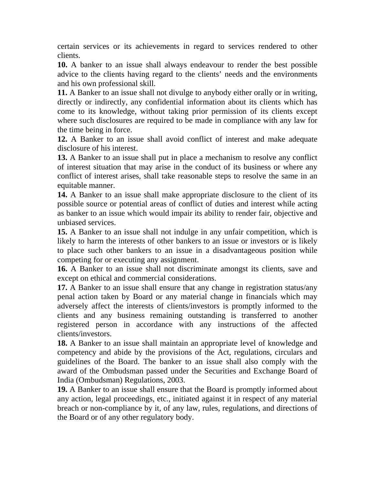certain services or its achievements in regard to services rendered to other clients.

**10.** A banker to an issue shall always endeavour to render the best possible advice to the clients having regard to the clients' needs and the environments and his own professional skill.

**11.** A Banker to an issue shall not divulge to anybody either orally or in writing, directly or indirectly, any confidential information about its clients which has come to its knowledge, without taking prior permission of its clients except where such disclosures are required to be made in compliance with any law for the time being in force.

**12.** A Banker to an issue shall avoid conflict of interest and make adequate disclosure of his interest.

**13.** A Banker to an issue shall put in place a mechanism to resolve any conflict of interest situation that may arise in the conduct of its business or where any conflict of interest arises, shall take reasonable steps to resolve the same in an equitable manner.

**14.** A Banker to an issue shall make appropriate disclosure to the client of its possible source or potential areas of conflict of duties and interest while acting as banker to an issue which would impair its ability to render fair, objective and unbiased services.

**15.** A Banker to an issue shall not indulge in any unfair competition, which is likely to harm the interests of other bankers to an issue or investors or is likely to place such other bankers to an issue in a disadvantageous position while competing for or executing any assignment.

**16.** A Banker to an issue shall not discriminate amongst its clients, save and except on ethical and commercial considerations.

**17.** A Banker to an issue shall ensure that any change in registration status/any penal action taken by Board or any material change in financials which may adversely affect the interests of clients/investors is promptly informed to the clients and any business remaining outstanding is transferred to another registered person in accordance with any instructions of the affected clients/investors.

**18.** A Banker to an issue shall maintain an appropriate level of knowledge and competency and abide by the provisions of the Act, regulations, circulars and guidelines of the Board. The banker to an issue shall also comply with the award of the Ombudsman passed under the Securities and Exchange Board of India (Ombudsman) Regulations, 2003.

**19.** A Banker to an issue shall ensure that the Board is promptly informed about any action, legal proceedings, etc., initiated against it in respect of any material breach or non-compliance by it, of any law, rules, regulations, and directions of the Board or of any other regulatory body.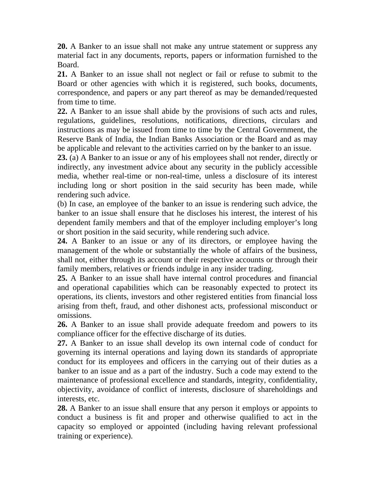**20.** A Banker to an issue shall not make any untrue statement or suppress any material fact in any documents, reports, papers or information furnished to the Board.

**21.** A Banker to an issue shall not neglect or fail or refuse to submit to the Board or other agencies with which it is registered, such books, documents, correspondence, and papers or any part thereof as may be demanded/requested from time to time.

**22.** A Banker to an issue shall abide by the provisions of such acts and rules, regulations, guidelines, resolutions, notifications, directions, circulars and instructions as may be issued from time to time by the Central Government, the Reserve Bank of India, the Indian Banks Association or the Board and as may be applicable and relevant to the activities carried on by the banker to an issue.

**23.** (a) A Banker to an issue or any of his employees shall not render, directly or indirectly, any investment advice about any security in the publicly accessible media, whether real-time or non-real-time, unless a disclosure of its interest including long or short position in the said security has been made, while rendering such advice.

(b) In case, an employee of the banker to an issue is rendering such advice, the banker to an issue shall ensure that he discloses his interest, the interest of his dependent family members and that of the employer including employer's long or short position in the said security, while rendering such advice.

**24.** A Banker to an issue or any of its directors, or employee having the management of the whole or substantially the whole of affairs of the business, shall not, either through its account or their respective accounts or through their family members, relatives or friends indulge in any insider trading.

**25.** A Banker to an issue shall have internal control procedures and financial and operational capabilities which can be reasonably expected to protect its operations, its clients, investors and other registered entities from financial loss arising from theft, fraud, and other dishonest acts, professional misconduct or omissions.

**26.** A Banker to an issue shall provide adequate freedom and powers to its compliance officer for the effective discharge of its duties.

**27.** A Banker to an issue shall develop its own internal code of conduct for governing its internal operations and laying down its standards of appropriate conduct for its employees and officers in the carrying out of their duties as a banker to an issue and as a part of the industry. Such a code may extend to the maintenance of professional excellence and standards, integrity, confidentiality, objectivity, avoidance of conflict of interests, disclosure of shareholdings and interests, etc.

**28.** A Banker to an issue shall ensure that any person it employs or appoints to conduct a business is fit and proper and otherwise qualified to act in the capacity so employed or appointed (including having relevant professional training or experience).